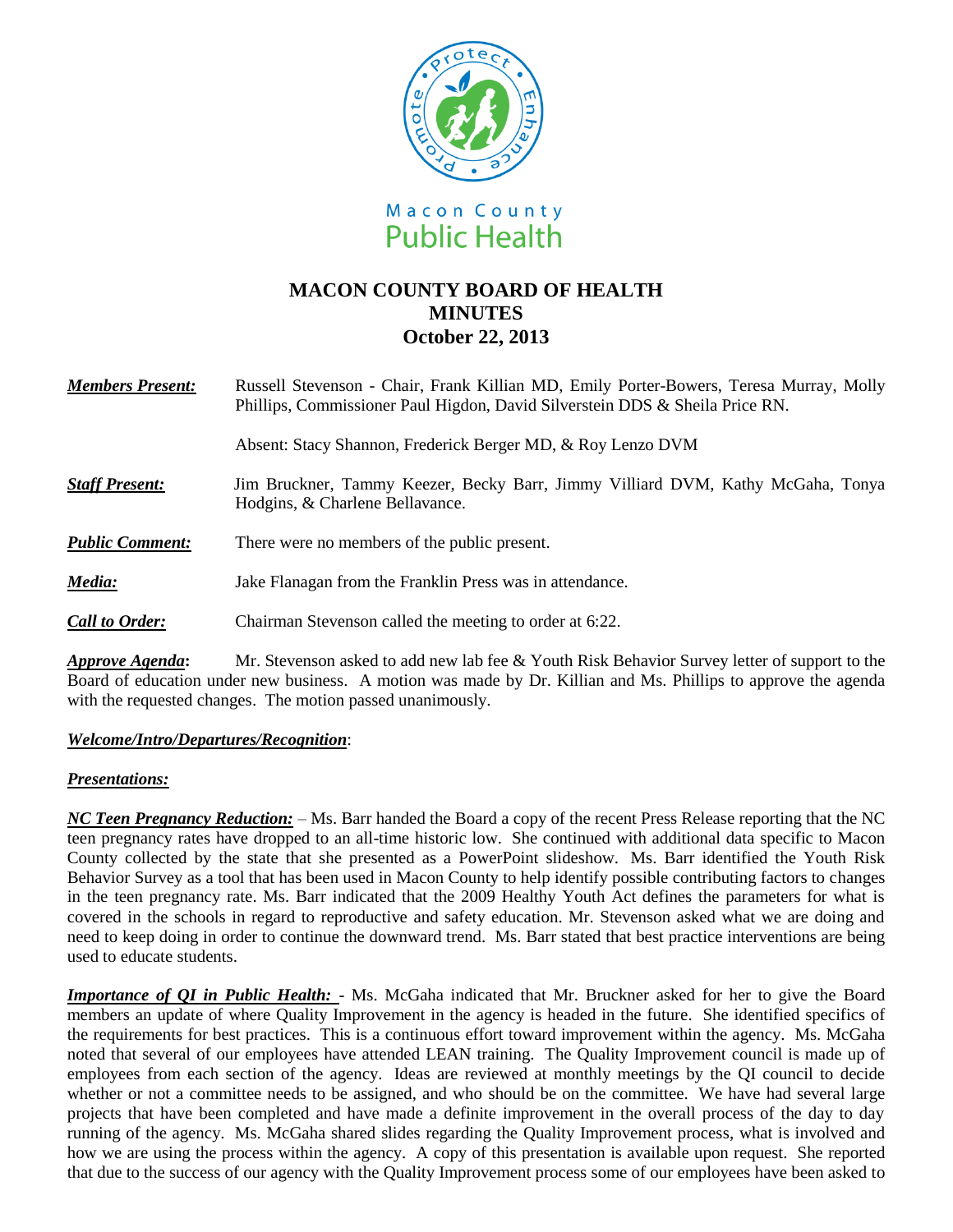

# **MACON COUNTY BOARD OF HEALTH MINUTES October 22, 2013**

| <b>Members Present:</b> | Russell Stevenson - Chair, Frank Killian MD, Emily Porter-Bowers, Teresa Murray, Molly<br>Phillips, Commissioner Paul Higdon, David Silverstein DDS & Sheila Price RN. |
|-------------------------|------------------------------------------------------------------------------------------------------------------------------------------------------------------------|
|                         | Absent: Stacy Shannon, Frederick Berger MD, & Roy Lenzo DVM                                                                                                            |
| <b>Staff Present:</b>   | Jim Bruckner, Tammy Keezer, Becky Barr, Jimmy Villiard DVM, Kathy McGaha, Tonya<br>Hodgins, & Charlene Bellavance.                                                     |
| <b>Public Comment:</b>  | There were no members of the public present.                                                                                                                           |
| Media:                  | Jake Flanagan from the Franklin Press was in attendance.                                                                                                               |
| <b>Call to Order:</b>   | Chairman Stevenson called the meeting to order at 6:22.                                                                                                                |
|                         | Mar Charana an calcad ha add nam lak fan O. Vanth Dick Dakanian Compan latten af gonnamt ta the                                                                        |

*Approve Agenda***:** Mr. Stevenson asked to add new lab fee & Youth Risk Behavior Survey letter of support to the Board of education under new business. A motion was made by Dr. Killian and Ms. Phillips to approve the agenda with the requested changes. The motion passed unanimously.

# *Welcome/Intro/Departures/Recognition*:

## *Presentations:*

*NC Teen Pregnancy Reduction:* – Ms. Barr handed the Board a copy of the recent Press Release reporting that the NC teen pregnancy rates have dropped to an all-time historic low. She continued with additional data specific to Macon County collected by the state that she presented as a PowerPoint slideshow. Ms. Barr identified the Youth Risk Behavior Survey as a tool that has been used in Macon County to help identify possible contributing factors to changes in the teen pregnancy rate. Ms. Barr indicated that the 2009 Healthy Youth Act defines the parameters for what is covered in the schools in regard to reproductive and safety education. Mr. Stevenson asked what we are doing and need to keep doing in order to continue the downward trend. Ms. Barr stated that best practice interventions are being used to educate students.

*Importance of QI in Public Health:* - Ms. McGaha indicated that Mr. Bruckner asked for her to give the Board members an update of where Quality Improvement in the agency is headed in the future. She identified specifics of the requirements for best practices. This is a continuous effort toward improvement within the agency. Ms. McGaha noted that several of our employees have attended LEAN training. The Quality Improvement council is made up of employees from each section of the agency. Ideas are reviewed at monthly meetings by the QI council to decide whether or not a committee needs to be assigned, and who should be on the committee. We have had several large projects that have been completed and have made a definite improvement in the overall process of the day to day running of the agency. Ms. McGaha shared slides regarding the Quality Improvement process, what is involved and how we are using the process within the agency. A copy of this presentation is available upon request. She reported that due to the success of our agency with the Quality Improvement process some of our employees have been asked to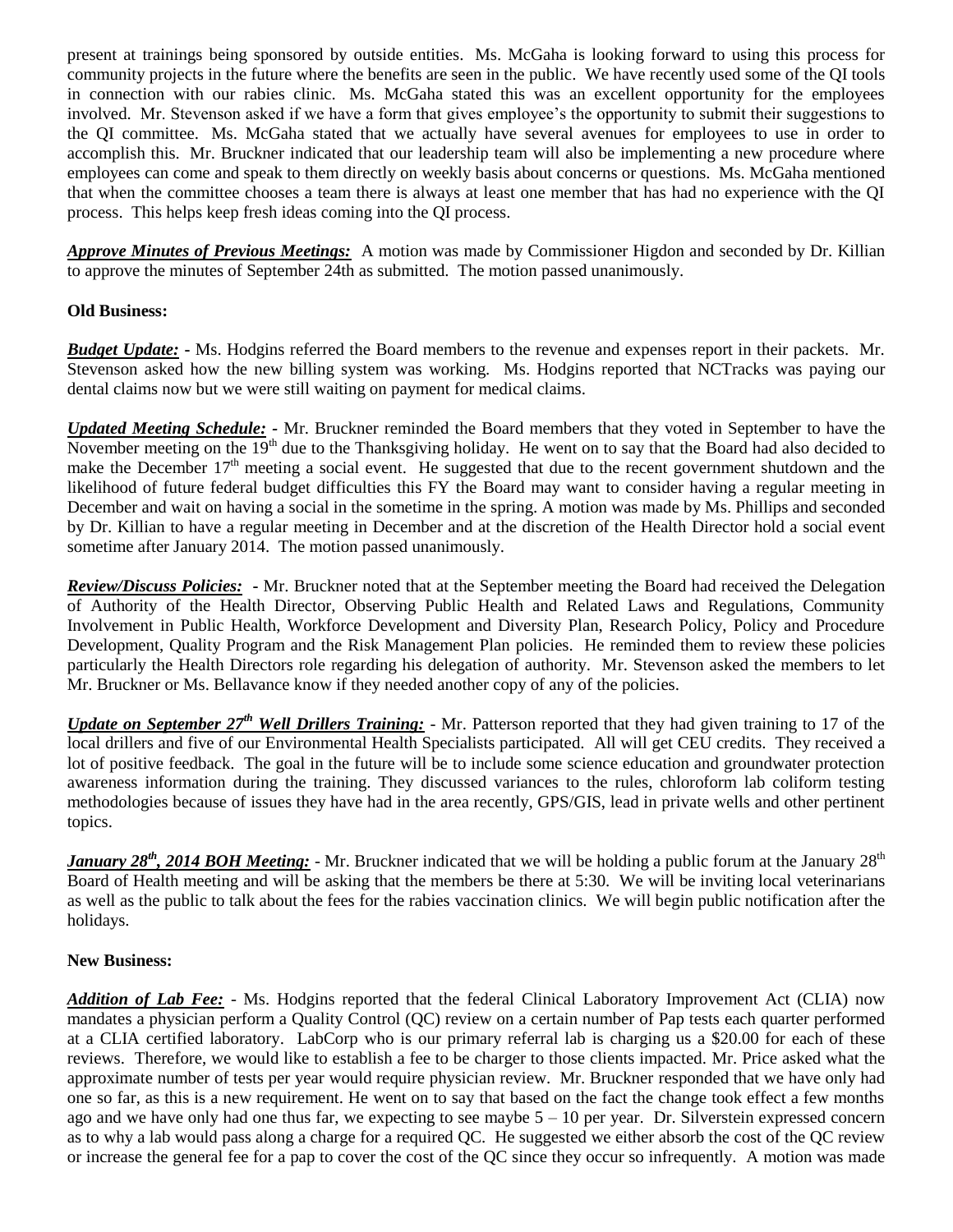present at trainings being sponsored by outside entities. Ms. McGaha is looking forward to using this process for community projects in the future where the benefits are seen in the public. We have recently used some of the QI tools in connection with our rabies clinic. Ms. McGaha stated this was an excellent opportunity for the employees involved. Mr. Stevenson asked if we have a form that gives employee's the opportunity to submit their suggestions to the QI committee. Ms. McGaha stated that we actually have several avenues for employees to use in order to accomplish this. Mr. Bruckner indicated that our leadership team will also be implementing a new procedure where employees can come and speak to them directly on weekly basis about concerns or questions. Ms. McGaha mentioned that when the committee chooses a team there is always at least one member that has had no experience with the QI process. This helps keep fresh ideas coming into the QI process.

*Approve Minutes of Previous Meetings:* A motion was made by Commissioner Higdon and seconded by Dr. Killian to approve the minutes of September 24th as submitted. The motion passed unanimously.

# **Old Business:**

*Budget Update:* **-** Ms. Hodgins referred the Board members to the revenue and expenses report in their packets. Mr. Stevenson asked how the new billing system was working. Ms. Hodgins reported that NCTracks was paying our dental claims now but we were still waiting on payment for medical claims.

*Updated Meeting Schedule: -* Mr. Bruckner reminded the Board members that they voted in September to have the November meeting on the  $19<sup>th</sup>$  due to the Thanksgiving holiday. He went on to say that the Board had also decided to make the December 17<sup>th</sup> meeting a social event. He suggested that due to the recent government shutdown and the likelihood of future federal budget difficulties this FY the Board may want to consider having a regular meeting in December and wait on having a social in the sometime in the spring. A motion was made by Ms. Phillips and seconded by Dr. Killian to have a regular meeting in December and at the discretion of the Health Director hold a social event sometime after January 2014. The motion passed unanimously.

*Review/Discuss Policies:* **-** Mr. Bruckner noted that at the September meeting the Board had received the Delegation of Authority of the Health Director, Observing Public Health and Related Laws and Regulations, Community Involvement in Public Health, Workforce Development and Diversity Plan, Research Policy, Policy and Procedure Development, Quality Program and the Risk Management Plan policies. He reminded them to review these policies particularly the Health Directors role regarding his delegation of authority. Mr. Stevenson asked the members to let Mr. Bruckner or Ms. Bellavance know if they needed another copy of any of the policies.

*Update on September 27th Well Drillers Training:* - Mr. Patterson reported that they had given training to 17 of the local drillers and five of our Environmental Health Specialists participated. All will get CEU credits. They received a lot of positive feedback. The goal in the future will be to include some science education and groundwater protection awareness information during the training. They discussed variances to the rules, chloroform lab coliform testing methodologies because of issues they have had in the area recently, GPS/GIS, lead in private wells and other pertinent topics.

*January 28<sup>th</sup>*, 2014 BOH Meeting: - Mr. Bruckner indicated that we will be holding a public forum at the January 28<sup>th</sup> Board of Health meeting and will be asking that the members be there at 5:30. We will be inviting local veterinarians as well as the public to talk about the fees for the rabies vaccination clinics. We will begin public notification after the holidays.

## **New Business:**

*Addition of Lab Fee:* - Ms. Hodgins reported that the federal Clinical Laboratory Improvement Act (CLIA) now mandates a physician perform a Quality Control (QC) review on a certain number of Pap tests each quarter performed at a CLIA certified laboratory. LabCorp who is our primary referral lab is charging us a \$20.00 for each of these reviews. Therefore, we would like to establish a fee to be charger to those clients impacted. Mr. Price asked what the approximate number of tests per year would require physician review. Mr. Bruckner responded that we have only had one so far, as this is a new requirement. He went on to say that based on the fact the change took effect a few months ago and we have only had one thus far, we expecting to see maybe  $5 - 10$  per year. Dr. Silverstein expressed concern as to why a lab would pass along a charge for a required QC. He suggested we either absorb the cost of the QC review or increase the general fee for a pap to cover the cost of the QC since they occur so infrequently. A motion was made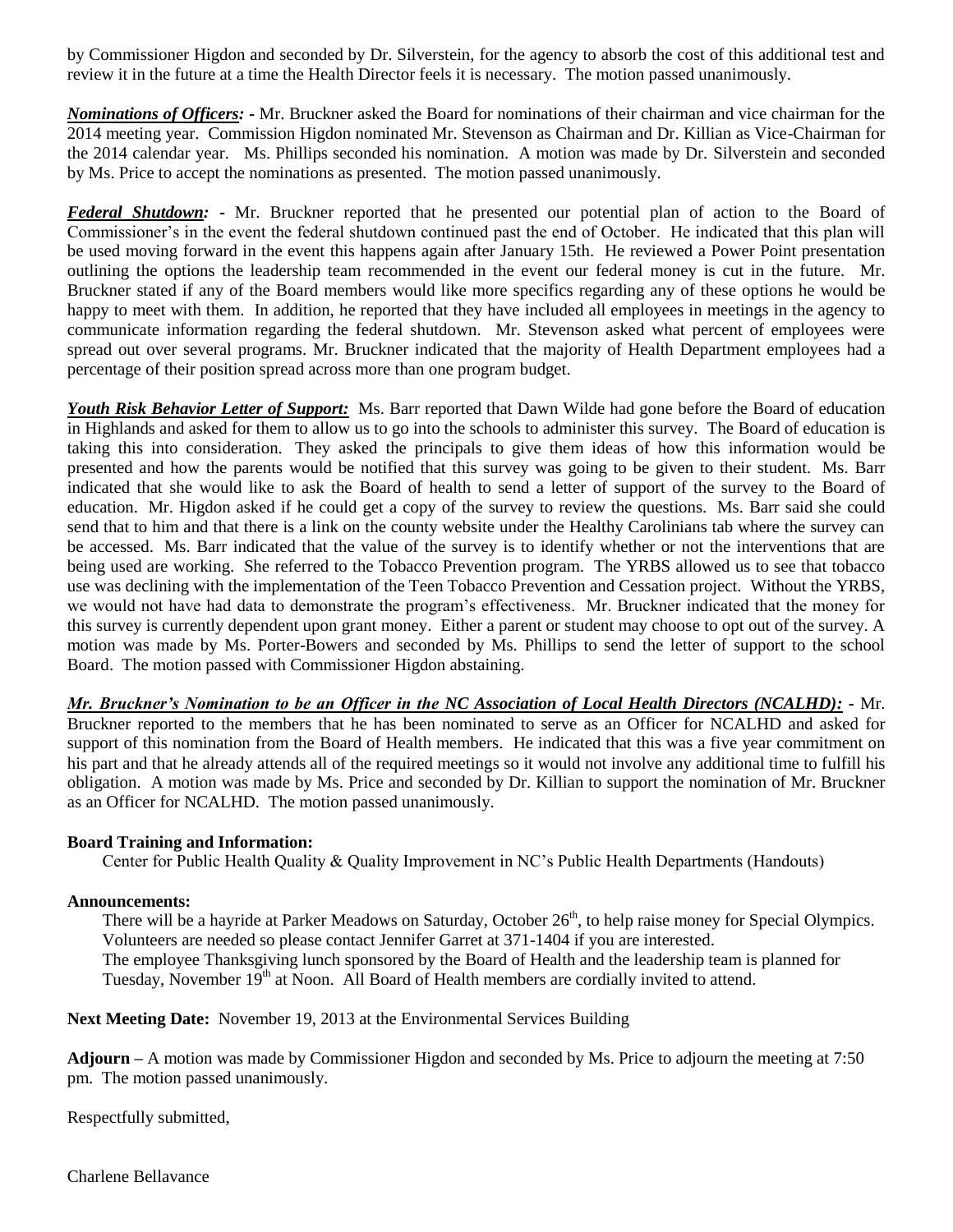by Commissioner Higdon and seconded by Dr. Silverstein, for the agency to absorb the cost of this additional test and review it in the future at a time the Health Director feels it is necessary. The motion passed unanimously.

*Nominations of Officers: -* Mr. Bruckner asked the Board for nominations of their chairman and vice chairman for the 2014 meeting year. Commission Higdon nominated Mr. Stevenson as Chairman and Dr. Killian as Vice-Chairman for the 2014 calendar year. Ms. Phillips seconded his nomination. A motion was made by Dr. Silverstein and seconded by Ms. Price to accept the nominations as presented. The motion passed unanimously.

*Federal Shutdown:* **-** Mr. Bruckner reported that he presented our potential plan of action to the Board of Commissioner's in the event the federal shutdown continued past the end of October. He indicated that this plan will be used moving forward in the event this happens again after January 15th. He reviewed a Power Point presentation outlining the options the leadership team recommended in the event our federal money is cut in the future. Mr. Bruckner stated if any of the Board members would like more specifics regarding any of these options he would be happy to meet with them. In addition, he reported that they have included all employees in meetings in the agency to communicate information regarding the federal shutdown. Mr. Stevenson asked what percent of employees were spread out over several programs. Mr. Bruckner indicated that the majority of Health Department employees had a percentage of their position spread across more than one program budget.

*Youth Risk Behavior Letter of Support:* Ms. Barr reported that Dawn Wilde had gone before the Board of education in Highlands and asked for them to allow us to go into the schools to administer this survey. The Board of education is taking this into consideration. They asked the principals to give them ideas of how this information would be presented and how the parents would be notified that this survey was going to be given to their student. Ms. Barr indicated that she would like to ask the Board of health to send a letter of support of the survey to the Board of education. Mr. Higdon asked if he could get a copy of the survey to review the questions. Ms. Barr said she could send that to him and that there is a link on the county website under the Healthy Carolinians tab where the survey can be accessed. Ms. Barr indicated that the value of the survey is to identify whether or not the interventions that are being used are working. She referred to the Tobacco Prevention program. The YRBS allowed us to see that tobacco use was declining with the implementation of the Teen Tobacco Prevention and Cessation project. Without the YRBS, we would not have had data to demonstrate the program's effectiveness. Mr. Bruckner indicated that the money for this survey is currently dependent upon grant money. Either a parent or student may choose to opt out of the survey. A motion was made by Ms. Porter-Bowers and seconded by Ms. Phillips to send the letter of support to the school Board. The motion passed with Commissioner Higdon abstaining.

*Mr. Bruckner's Nomination to be an Officer in the NC Association of Local Health Directors (NCALHD):* **-** Mr. Bruckner reported to the members that he has been nominated to serve as an Officer for NCALHD and asked for support of this nomination from the Board of Health members. He indicated that this was a five year commitment on his part and that he already attends all of the required meetings so it would not involve any additional time to fulfill his obligation. A motion was made by Ms. Price and seconded by Dr. Killian to support the nomination of Mr. Bruckner as an Officer for NCALHD. The motion passed unanimously.

## **Board Training and Information:**

Center for Public Health Quality & Quality Improvement in NC's Public Health Departments (Handouts)

#### **Announcements:**

There will be a hayride at Parker Meadows on Saturday, October 26<sup>th</sup>, to help raise money for Special Olympics. Volunteers are needed so please contact Jennifer Garret at 371-1404 if you are interested. The employee Thanksgiving lunch sponsored by the Board of Health and the leadership team is planned for Tuesday, November 19<sup>th</sup> at Noon. All Board of Health members are cordially invited to attend.

**Next Meeting Date:** November 19, 2013 at the Environmental Services Building

**Adjourn –** A motion was made by Commissioner Higdon and seconded by Ms. Price to adjourn the meeting at 7:50 pm. The motion passed unanimously.

Respectfully submitted,